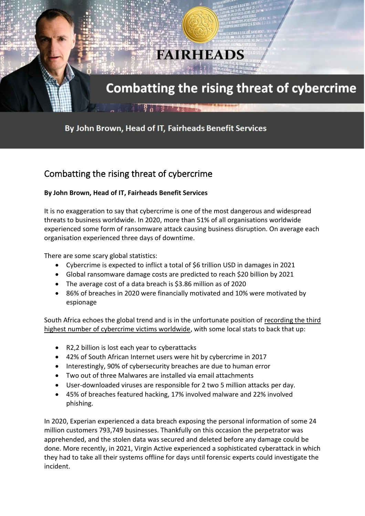

## By John Brown, Head of IT, Fairheads Benefit Services

## Combatting the rising threat of cybercrime

## **By John Brown, Head of IT, Fairheads Benefit Services**

It is no exaggeration to say that cybercrime is one of the most dangerous and widespread threats to business worldwide. In 2020, more than 51% of all organisations worldwide experienced some form of ransomware attack causing business disruption. On average each organisation experienced three days of downtime.

There are some scary global statistics:

- Cybercrime is expected to inflict a total of \$6 trillion USD in damages in 2021
- Global ransomware damage costs are predicted to reach \$20 billion by 2021
- The average cost of a data breach is \$3.86 million as of 2020
- 86% of breaches in 2020 were financially motivated and 10% were motivated by espionage

South Africa echoes the global trend and is in the unfortunate position of recording the third highest number of cybercrime victims worldwide, with some local stats to back that up:

- R2,2 billion is lost each year to cyberattacks
- 42% of South African Internet users were hit by cybercrime in 2017
- Interestingly, 90% of cybersecurity breaches are due to human error
- Two out of three Malwares are installed via email attachments
- User-downloaded viruses are responsible for 2 two 5 million attacks per day.
- 45% of breaches featured hacking, 17% involved malware and 22% involved phishing.

In 2020, Experian experienced a data breach exposing the personal information of some 24 million customers 793,749 businesses. Thankfully on this occasion the perpetrator was apprehended, and the stolen data was secured and deleted before any damage could be done. More recently, in 2021, Virgin Active experienced a sophisticated cyberattack in which they had to take all their systems offline for days until forensic experts could investigate the incident.